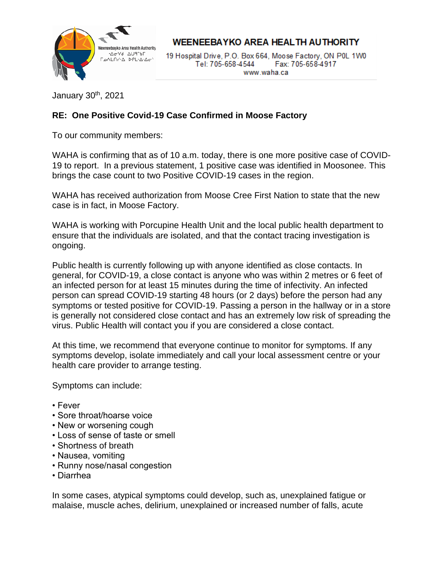

**WEENEEBAYKO AREA HEALTH AUTHORITY** 

19 Hospital Drive, P.O. Box 664, Moose Factory, ON P0L 1W0 Tel: 705-658-4544 Fax: 705-658-4917 www.waha.ca

January 30th, 2021

## **RE: One Positive Covid-19 Case Confirmed in Moose Factory**

To our community members:

WAHA is confirming that as of 10 a.m. today, there is one more positive case of COVID-19 to report. In a previous statement, 1 positive case was identified in Moosonee. This brings the case count to two Positive COVID-19 cases in the region.

WAHA has received authorization from Moose Cree First Nation to state that the new case is in fact, in Moose Factory.

WAHA is working with Porcupine Health Unit and the local public health department to ensure that the individuals are isolated, and that the contact tracing investigation is ongoing.

Public health is currently following up with anyone identified as close contacts. In general, for COVID-19, a close contact is anyone who was within 2 metres or 6 feet of an infected person for at least 15 minutes during the time of infectivity. An infected person can spread COVID-19 starting 48 hours (or 2 days) before the person had any symptoms or tested positive for COVID-19. Passing a person in the hallway or in a store is generally not considered close contact and has an extremely low risk of spreading the virus. Public Health will contact you if you are considered a close contact.

At this time, we recommend that everyone continue to monitor for symptoms. If any symptoms develop, isolate immediately and call your local assessment centre or your health care provider to arrange testing.

Symptoms can include:

- Fever
- Sore throat/hoarse voice
- New or worsening cough
- Loss of sense of taste or smell
- Shortness of breath
- Nausea, vomiting
- Runny nose/nasal congestion
- Diarrhea

In some cases, atypical symptoms could develop, such as, unexplained fatigue or malaise, muscle aches, delirium, unexplained or increased number of falls, acute